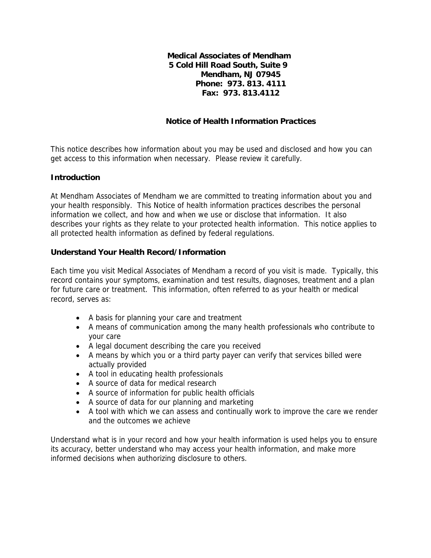**Medical Associates of Mendham 5 Cold Hill Road South, Suite 9 Mendham, NJ 07945 Phone: 973. 813. 4111 Fax: 973. 813.4112** 

# **Notice of Health Information Practices**

This notice describes how information about you may be used and disclosed and how you can get access to this information when necessary. Please review it carefully.

### **Introduction**

At Mendham Associates of Mendham we are committed to treating information about you and your health responsibly. This Notice of health information practices describes the personal information we collect, and how and when we use or disclose that information. It also describes your rights as they relate to your protected health information. This notice applies to all protected health information as defined by federal regulations.

### **Understand Your Health Record/Information**

Each time you visit Medical Associates of Mendham a record of you visit is made. Typically, this record contains your symptoms, examination and test results, diagnoses, treatment and a plan for future care or treatment. This information, often referred to as your health or medical record, serves as:

- A basis for planning your care and treatment
- A means of communication among the many health professionals who contribute to your care
- A legal document describing the care you received
- A means by which you or a third party payer can verify that services billed were actually provided
- A tool in educating health professionals
- A source of data for medical research
- A source of information for public health officials
- A source of data for our planning and marketing
- A tool with which we can assess and continually work to improve the care we render and the outcomes we achieve

Understand what is in your record and how your health information is used helps you to ensure its accuracy, better understand who may access your health information, and make more informed decisions when authorizing disclosure to others.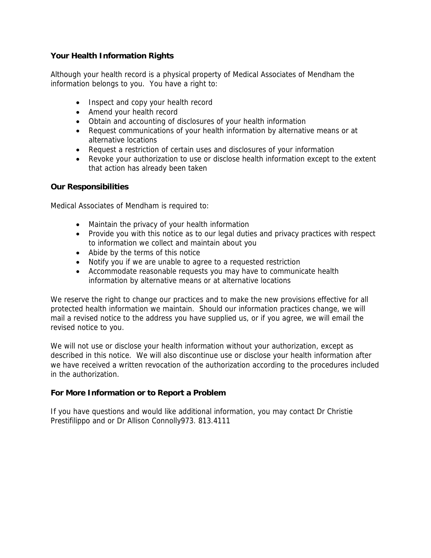## **Your Health Information Rights**

Although your health record is a physical property of Medical Associates of Mendham the information belongs to you. You have a right to:

- Inspect and copy your health record
- Amend your health record
- Obtain and accounting of disclosures of your health information
- Request communications of your health information by alternative means or at alternative locations
- Request a restriction of certain uses and disclosures of your information
- Revoke your authorization to use or disclose health information except to the extent that action has already been taken

### **Our Responsibilities**

Medical Associates of Mendham is required to:

- Maintain the privacy of your health information
- Provide you with this notice as to our legal duties and privacy practices with respect to information we collect and maintain about you
- Abide by the terms of this notice
- Notify you if we are unable to agree to a requested restriction
- Accommodate reasonable requests you may have to communicate health information by alternative means or at alternative locations

We reserve the right to change our practices and to make the new provisions effective for all protected health information we maintain. Should our information practices change, we will mail a revised notice to the address you have supplied us, or if you agree, we will email the revised notice to you.

We will not use or disclose your health information without your authorization, except as described in this notice. We will also discontinue use or disclose your health information after we have received a written revocation of the authorization according to the procedures included in the authorization.

### **For More Information or to Report a Problem**

If you have questions and would like additional information, you may contact Dr Christie Prestifilippo and or Dr Allison Connolly973. 813.4111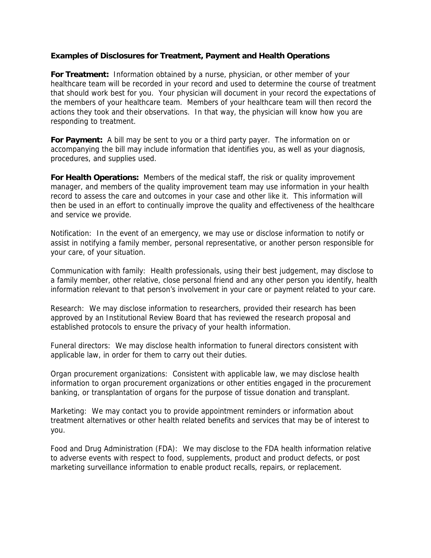### **Examples of Disclosures for Treatment, Payment and Health Operations**

**For Treatment:** Information obtained by a nurse, physician, or other member of your healthcare team will be recorded in your record and used to determine the course of treatment that should work best for you. Your physician will document in your record the expectations of the members of your healthcare team. Members of your healthcare team will then record the actions they took and their observations. In that way, the physician will know how you are responding to treatment.

**For Payment:** A bill may be sent to you or a third party payer. The information on or accompanying the bill may include information that identifies you, as well as your diagnosis, procedures, and supplies used.

**For Health Operations:** Members of the medical staff, the risk or quality improvement manager, and members of the quality improvement team may use information in your health record to assess the care and outcomes in your case and other like it. This information will then be used in an effort to continually improve the quality and effectiveness of the healthcare and service we provide.

Notification: In the event of an emergency, we may use or disclose information to notify or assist in notifying a family member, personal representative, or another person responsible for your care, of your situation.

Communication with family: Health professionals, using their best judgement, may disclose to a family member, other relative, close personal friend and any other person you identify, health information relevant to that person's involvement in your care or payment related to your care.

Research: We may disclose information to researchers, provided their research has been approved by an Institutional Review Board that has reviewed the research proposal and established protocols to ensure the privacy of your health information.

Funeral directors: We may disclose health information to funeral directors consistent with applicable law, in order for them to carry out their duties.

Organ procurement organizations: Consistent with applicable law, we may disclose health information to organ procurement organizations or other entities engaged in the procurement banking, or transplantation of organs for the purpose of tissue donation and transplant.

Marketing: We may contact you to provide appointment reminders or information about treatment alternatives or other health related benefits and services that may be of interest to you.

Food and Drug Administration (FDA): We may disclose to the FDA health information relative to adverse events with respect to food, supplements, product and product defects, or post marketing surveillance information to enable product recalls, repairs, or replacement.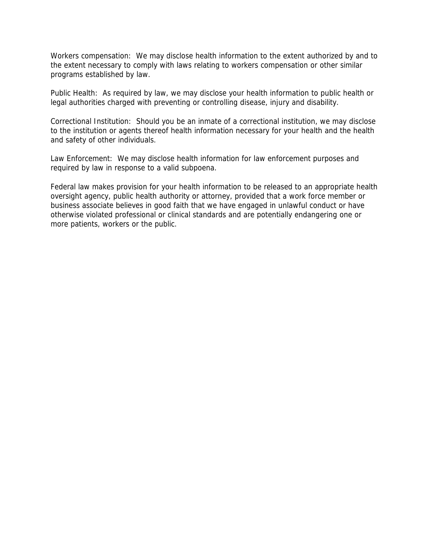Workers compensation: We may disclose health information to the extent authorized by and to the extent necessary to comply with laws relating to workers compensation or other similar programs established by law.

Public Health: As required by law, we may disclose your health information to public health or legal authorities charged with preventing or controlling disease, injury and disability.

Correctional Institution: Should you be an inmate of a correctional institution, we may disclose to the institution or agents thereof health information necessary for your health and the health and safety of other individuals.

Law Enforcement: We may disclose health information for law enforcement purposes and required by law in response to a valid subpoena.

Federal law makes provision for your health information to be released to an appropriate health oversight agency, public health authority or attorney, provided that a work force member or business associate believes in good faith that we have engaged in unlawful conduct or have otherwise violated professional or clinical standards and are potentially endangering one or more patients, workers or the public.